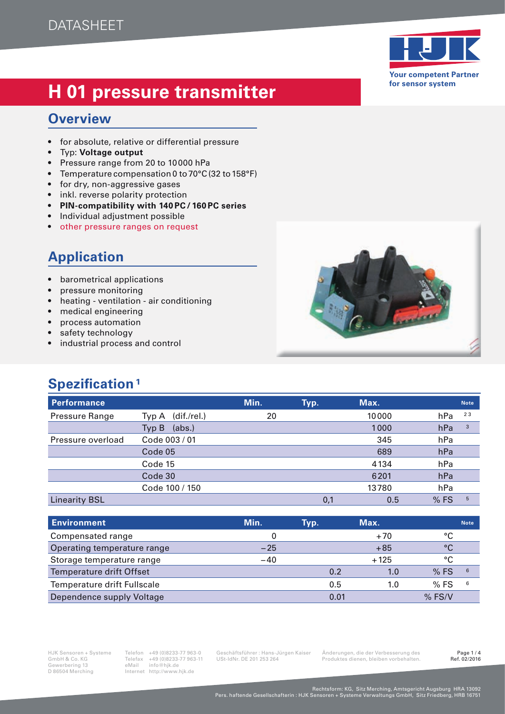# **H 01 pressure transmitter transmitter**

### **Overview**

- for absolute, relative or differential pressure
- Typ: **Voltage output**
- Pressure range from 20 to 10000 hPa
- Temperature compensation 0 to  $70^{\circ}$ C (32 to 158 $^{\circ}$ F)
- for dry, non-aggressive gases
- inkl. reverse polarity protection
- **PIN-compatibility with 140 PC/ 160 PC series**
- Individual adjustment possible
- other pressure ranges on request

## **Application**

- barometrical applications
- pressure monitoring
- heating ventilation air conditioning
- medical engineering
- process automation
- safety technology
- industrial process and control

## **Spezification<sup>1</sup>**

| <b>Performance</b>   |                      | Min. | Typ. | Max.  |     | <b>Note</b> |
|----------------------|----------------------|------|------|-------|-----|-------------|
| Pressure Range       | (dif./rel.)<br>Typ A | 20   |      | 10000 | hPa | 23          |
|                      | (abs.)<br>Typ B      |      |      | 1000  | hPa | 3           |
| Pressure overload    | Code 003 / 01        |      |      | 345   | hPa |             |
|                      | Code 05              |      |      | 689   | hPa |             |
|                      | Code 15              |      |      | 4134  | hPa |             |
|                      | Code 30              |      |      | 6201  | hPa |             |
|                      | Code 100 / 150       |      |      | 13780 | hPa |             |
| <b>Linearity BSL</b> |                      |      | 0,1  | 0.5   | %FS | 5           |

| <b>Environment</b>          | Min.  | Typ. | Max.   |            | <b>Note</b> |
|-----------------------------|-------|------|--------|------------|-------------|
| Compensated range           |       |      | $+70$  | $\circ$    |             |
| Operating temperature range | $-25$ |      | $+85$  | $^{\circ}$ |             |
| Storage temperature range   | $-40$ |      | $+125$ | °C         |             |
| Temperature drift Offset    |       | 0.2  | 1.0    | %FS        | 6           |
| Temperature drift Fullscale |       | 0.5  | 1.0    | %FS        | 6           |
| Dependence supply Voltage   |       | 0.01 |        | $%$ FS/V   |             |

GmbH & Co. KG Telefax +49 (0)8233-77 963-11 USt-IdNr. DE 201 253 264 Produktes dienen, bleiben vorbehalten.<br>Gewerbering 13 eMail info@hik.de GmbH & Co. KG<br>
Gewerbering 13 eMail info@hjk.de<br>
D 86504 Merching Internet http://www.hjk.de Internet http://www.hjk.de

HJK Sensoren + Systeme Telefon +49 (0)8233-77 963-0 Geschäftsführer : Hans-Jürgen Kaiser Änderungen, die der Verbesserung des Page 1 / 4

#### **Your competent Partner for sensor system**



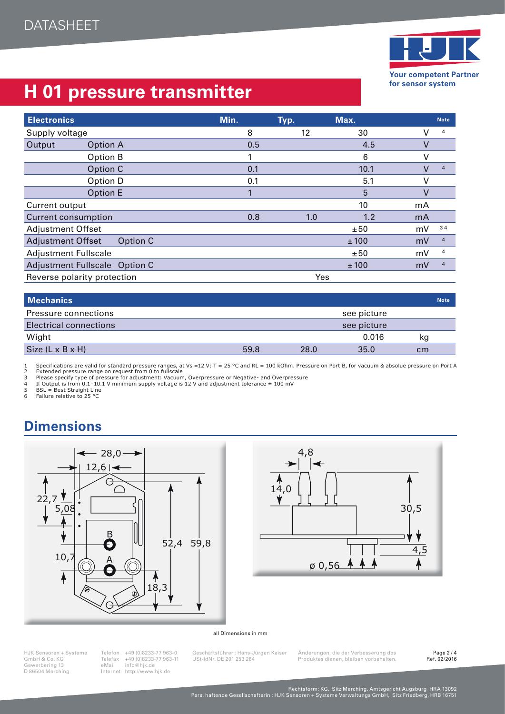

## **H 01 pressure transmitter**

| <b>Electronics</b>            |                 | Min. | Typ. | Max. |        | <b>Note</b>    |
|-------------------------------|-----------------|------|------|------|--------|----------------|
| Supply voltage                |                 | 8    | 12   | 30   | v      | 4              |
| Output                        | <b>Option A</b> | 0.5  |      | 4.5  | $\vee$ |                |
|                               | Option B        |      |      | 6    | ν      |                |
|                               | Option C        | 0.1  |      | 10.1 | ٧      | $\overline{4}$ |
|                               | Option D        | 0.1  |      | 5.1  | V      |                |
|                               | Option E        |      |      | 5    | V      |                |
| Current output                |                 |      |      | 10   | mA     |                |
| <b>Current consumption</b>    |                 | 0.8  | 1.0  | 1.2  | mA     |                |
| <b>Adjustment Offset</b>      |                 |      |      | ±50  | mV     | 34             |
| <b>Adjustment Offset</b>      | Option C        |      |      | ±100 | mV     | $\overline{a}$ |
| <b>Adjustment Fullscale</b>   |                 |      |      | ±50  | mV     | 4              |
| Adjustment Fullscale Option C |                 |      |      | ±100 | mV     | $\overline{4}$ |
| Reverse polarity protection   |                 |      | Yes  |      |        |                |

| <b>Mechanics</b>              |      |      |             | <b>Note</b> |
|-------------------------------|------|------|-------------|-------------|
| Pressure connections          |      |      | see picture |             |
| <b>Electrical connections</b> |      |      | see picture |             |
| Wight                         |      |      | 0.016       | kg          |
| Size $(L \times B \times H)$  | 59.8 | 28.0 | 35.0        | cm          |

1 Specifications are valid for standard pressure ranges, at Vs =12 V; T = 25 °C and RL = 100 kOhm. Pressure on Port B, for vacuum & absolue pressure on Port A<br>2 Extended pressure range on request from 0 to fullscale<br>7 Plea

### **Dimensions**





#### all Dimensions in mm

GmbH & Co. KG<br>
Gewerbering 13 eMail info@hjk.de<br>
D 86504 Merching Internet http://www.hjk.de Internet http://www.hjk.de

HJK Sensoren + Systeme Telefon +49 (0)8233-77 963-0 Geschäftsführer : Hans-Jürgen Kaiser Änderungen, die der Verbesserung des Page 2 / 4

Finandingen, als dienen vorbehalten.<br>Produktes dienen, bleiben vorbehalten.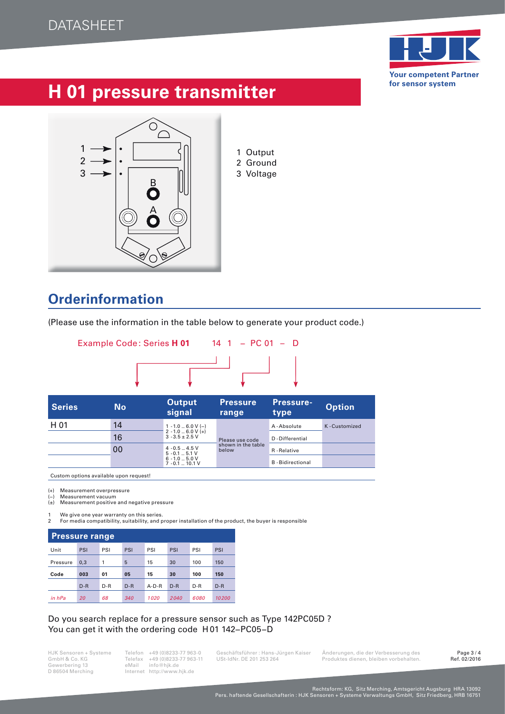

## **H 01 pressure transmitter**



2 Ground 3 Voltage

### **Orderinformation**

(Please use the information in the table below to generate your product code.)



| <b>Series</b> | <b>No</b> | <b>Output</b><br>signal                      | <b>Pressure</b><br>range    | <b>Pressure-</b><br>type | <b>Option</b> |
|---------------|-----------|----------------------------------------------|-----------------------------|--------------------------|---------------|
| H 01          | 14        | $1 - 1.0$ 6.0 V (-)                          |                             | A-Absolute               | K-Customized  |
|               | 16        | $2 - 1.0 - 6.0 V (+)$<br>$3 - 3.5 \pm 2.5$ V | Please use code             | D-Differential           |               |
|               | 00        | $4 - 0.5 - 4.5$ V<br>$5 - 0.1 - 5.1$ V       | shown in the table<br>below | R-Relative               |               |
|               |           | $6 - 1.0 - 5.0$ V<br>$7 - 0.1$ 10.1 V        |                             | <b>B</b> - Bidirectional |               |

Custom options available upon request!

(+) Measurement overpressure<br>(-) Measurement vacuum

Measurement vacuum (±) Measurement positive and negative pressure

1 We give one year warranty on this series. 2 For media compatibility, suitability, and proper installation of the product, the buyer is responsible

| <b>Pressure range</b> |              |     |       |         |       |     |       |  |  |  |  |  |  |  |
|-----------------------|--------------|-----|-------|---------|-------|-----|-------|--|--|--|--|--|--|--|
| Unit                  | PSI          | PSI |       | PSI     | PSI   | PSI | PSI   |  |  |  |  |  |  |  |
| Pressure              | 0,3          | 1   | 5     | 15      | 30    | 100 | 150   |  |  |  |  |  |  |  |
| Code                  | 003          | 01  | 05    | 15      | 30    | 100 | 150   |  |  |  |  |  |  |  |
|                       | $D-R$<br>D-R |     | $D-R$ | $A-D-R$ | $D-R$ | D-R | $D-R$ |  |  |  |  |  |  |  |
|                       |              |     |       |         |       |     |       |  |  |  |  |  |  |  |

### Do you search replace for a pressure sensor such as Type 142PC05D ? You can get it with the ordering code H 01 142−PC05−D

GmbH & Co. KG Telefax +49 (0)8233-77 963-11 USt-IdNr. DE 201 253 264 Produktes dienen, bleiben vorbehalten.<br>Gewerbering 13 eMail info@hjk.de Produktes dienen, bleiben vorbehalten. GmbH & Co. KG<br>
Gewerbering 13 eMail info@hjk.de<br>
D 86504 Merching Internet http://www.hjk.de Internet http://www.hjk.de

HJK Sensoren + Systeme Telefon +49 (0)8233-77 963-0 Geschäftsführer : Hans-Jürgen Kaiser Änderungen, die der Verbesserung des Page 3 / 4